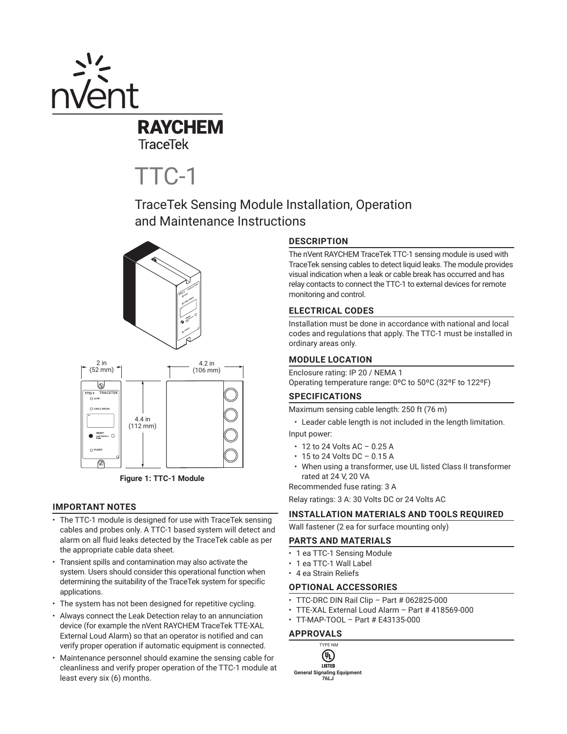

**TraceTek** 

# TTC-1

TraceTek Sensing Module Installation, Operation and Maintenance Instructions





**Figure 1: TTC-1 Module** 

## **IMPORTANT NOTES**

- The TTC-1 module is designed for use with TraceTek sensing cables and probes only. A TTC-1 based system will detect and alarm on all fluid leaks detected by the TraceTek cable as per the appropriate cable data sheet.
- Transient spills and contamination may also activate the system. Users should consider this operational function when determining the suitability of the TraceTek system for specific applications.
- The system has not been designed for repetitive cycling.
- Always connect the Leak Detection relay to an annunciation device (for example the nVent RAYCHEM TraceTek TTE-XAL External Loud Alarm) so that an operator is notified and can verify proper operation if automatic equipment is connected.
- Maintenance personnel should examine the sensing cable for cleanliness and verify proper operation of the TTC-1 module at least every six (6) months.

# **DESCRIPTION**

The nVent RAYCHEM TraceTek TTC-1 sensing module is used with TraceTek sensing cables to detect liquid leaks. The module provides visual indication when a leak or cable break has occurred and has relay contacts to connect the TTC-1 to external devices for remote monitoring and control.

## **ELECTRICAL CODES**

Installation must be done in accordance with national and local codes and regulations that apply. The TTC-1 must be installed in ordinary areas only.

## **MODULE LOCATION**

Enclosure rating: IP 20 / NEMA 1 Operating temperature range: 0ºC to 50ºC (32ºF to 122ºF)

# **SPECIFICATIONS**

Maximum sensing cable length: 250 ft (76 m)

- Leader cable length is not included in the length limitation. Input power:
- $\cdot$  12 to 24 Volts AC 0.25 A
- $\cdot$  15 to 24 Volts DC 0.15 A
- When using a transformer, use UL listed Class II transformer rated at 24 V, 20 VA

Recommended fuse rating: 3 A

Relay ratings: 3 A: 30 Volts DC or 24 Volts AC

## **INSTALLATION MATERIALS AND TOOLS REQUIRED**

Wall fastener (2 ea for surface mounting only)

## **PARTS AND MATERIALS**

- 1 ea TTC-1 Sensing Module
- 1 ea TTC-1 Wall Label
- 4 ea Strain Reliefs

## **OPTIONAL ACCESSORIES**

- TTC-DRC DIN Rail Clip Part # 062825-000
- TTE-XAL External Loud Alarm Part # 418569-000
- TT-MAP-TOOL Part # E43135-000

## **APPROVALS**

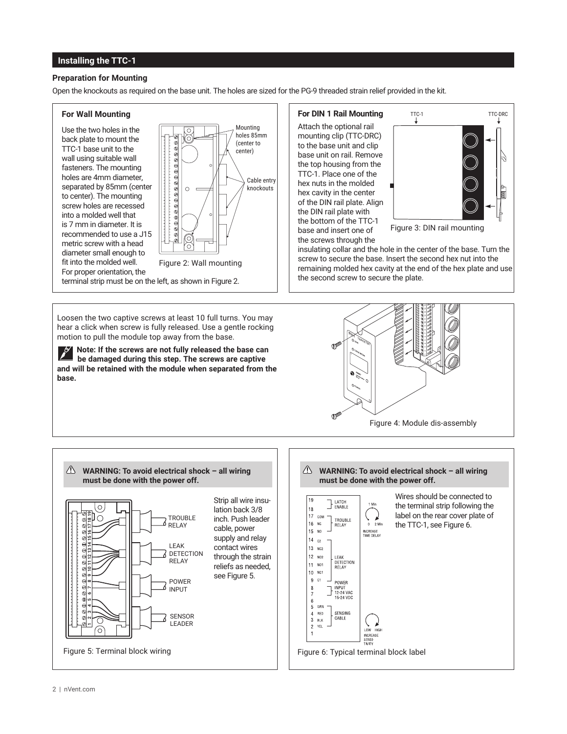## **Installing the TTC-1**

## **Preparation for Mounting**

Open the knockouts as required on the base unit. The holes are sized for the PG-9 threaded strain relief provided in the kit.

## **For Wall Mounting**

Use the two holes in the back plate to mount the TTC-1 base unit to the wall using suitable wall fasteners. The mounting holes are 4mm diameter, separated by 85mm (center to center). The mounting screw holes are recessed into a molded well that is 7 mm in diameter. It is recommended to use a J15 metric screw with a head diameter small enough to fit into the molded well. For proper orientation, the



Loosen the two captive screws at least 10 full turns. You may hear a click when screw is fully released. Use a gentle rocking motion to pull the module top away from the base.

**Note: If the screws are not fully released the base can be damaged during this step. The screws are captive and will be retained with the module when separated from the base.**

**For DIN 1 Rail Mounting** Attach the optional rail mounting clip (TTC-DRC) to the base unit and clip base unit on rail. Remove the top housing from the TTC-1. Place one of the hex nuts in the molded hex cavity in the center of the DIN rail plate. Align the DIN rail plate with the bottom of the TTC-1 base and insert one of the screws through the



insulating collar and the hole in the center of the base. Turn the screw to secure the base. Insert the second hex nut into the remaining molded hex cavity at the end of the hex plate and use the second screw to secure the plate.



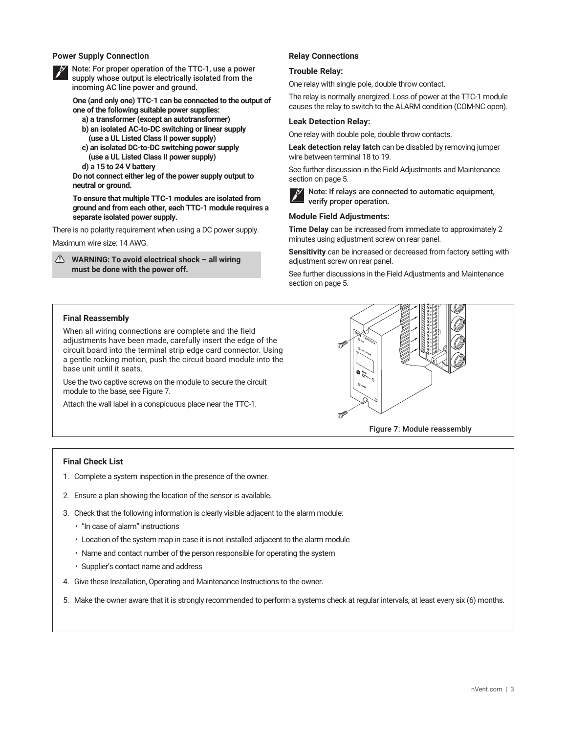## **Power Supply Connection**



Note: For proper operation of the TTC-1, use a power supply whose output is electrically isolated from the incoming AC line power and ground.

**One (and only one) TTC-1 can be connected to the output of one of the following suitable power supplies:**

- **a) a transformer (except an autotransformer) b) an isolated AC-to-DC switching or linear supply (use a UL Listed Class II power supply)**
- **c) an isolated DC-to-DC switching power supply (use a UL Listed Class II power supply)**

**d) a 15 to 24 V battery**

**Do not connect either leg of the power supply output to neutral or ground.**

**To ensure that multiple TTC-1 modules are isolated from ground and from each other, each TTC-1 module requires a separate isolated power supply.**

There is no polarity requirement when using a DC power supply.

Maximum wire size: 14 AWG.

**WARNING: To avoid electrical shock – all wiring must be done with the power off.**

## **Relay Connections**

## **Trouble Relay:**

One relay with single pole, double throw contact.

The relay is normally energized. Loss of power at the TTC-1 module causes the relay to switch to the ALARM condition (COM-NC open).

#### **Leak Detection Relay:**

One relay with double pole, double throw contacts.

**Leak detection relay latch** can be disabled by removing jumper wire between terminal 18 to 19.

See further discussion in the Field Adjustments and Maintenance section on page 5.



Note: If relays are connected to automatic equipment, verify proper operation.

## **Module Field Adjustments:**

**Time Delay** can be increased from immediate to approximately 2 minutes using adjustment screw on rear panel.

**Sensitivity** can be increased or decreased from factory setting with adjustment screw on rear panel.

See further discussions in the Field Adjustments and Maintenance section on page 5.

## **Final Reassembly**

When all wiring connections are complete and the field adjustments have been made, carefully insert the edge of the circuit board into the terminal strip edge card connector. Using a gentle rocking motion, push the circuit board module into the base unit until it seats.

Use the two captive screws on the module to secure the circuit module to the base, see Figure 7.

Attach the wall label in a conspicuous place near the TTC-1.



#### **Final Check List**

- 1. Complete a system inspection in the presence of the owner.
- 2. Ensure a plan showing the location of the sensor is available.
- 3. Check that the following information is clearly visible adjacent to the alarm module:
	- "In case of alarm" instructions
	- Location of the system map in case it is not installed adjacent to the alarm module
	- Name and contact number of the person responsible for operating the system
	- Supplier's contact name and address
- 4. Give these Installation, Operating and Maintenance Instructions to the owner.
- 5. Make the owner aware that it is strongly recommended to perform a systems check at regular intervals, at least every six (6) months.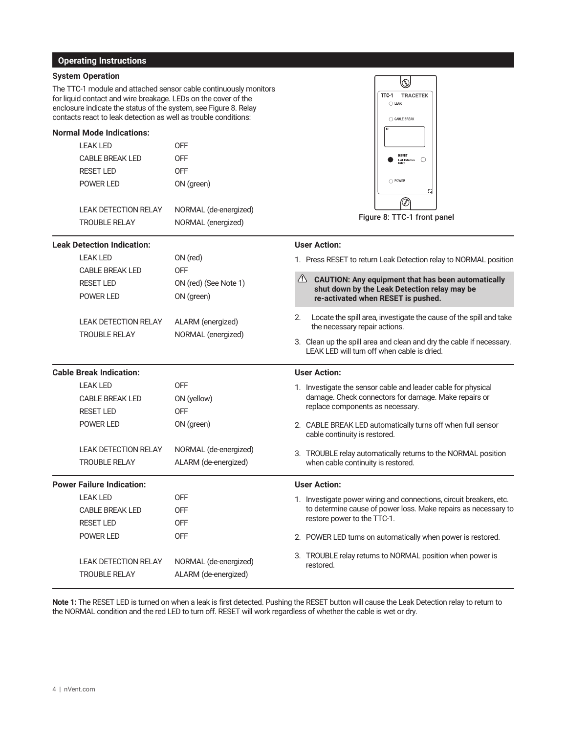## **Operating Instructions**

## **System Operation**

The TTC-1 module and attached sensor cable continuously monitors for liquid contact and wire breakage. LEDs on the cover of the enclosure indicate the status of the system, see Figure 8. Relay contacts react to leak detection as well as trouble conditions:

## **Normal Mode Indications:**

| <b>LEAK LED</b>             | 0FF                 |
|-----------------------------|---------------------|
| CABLE BREAK LED             | 0FF                 |
| <b>RESET LED</b>            | OFF                 |
| POWER LED                   | ON (green)          |
|                             |                     |
| <b>LEAK DETECTION RELAY</b> | NORMAL (de-energize |

| <b>LEAK DETECTION RELAY</b> | NORMAL (de-energized) |
|-----------------------------|-----------------------|
| <b>TROUBLE RELAY</b>        | NORMAL (energized)    |

## **Leak Detection Indication:**



Figure 8: TTC-1 front panel

| <b>Leak Detection Indication:</b>   |                                                                                   |                                                               | <b>User Action:</b>                                              |                                                                                                                                                                                                                                                           |  |
|-------------------------------------|-----------------------------------------------------------------------------------|---------------------------------------------------------------|------------------------------------------------------------------|-----------------------------------------------------------------------------------------------------------------------------------------------------------------------------------------------------------------------------------------------------------|--|
|                                     | <b>LEAK LED</b><br><b>CABLE BREAK LED</b><br><b>RESET LED</b><br><b>POWER LED</b> | ON (red)<br><b>OFF</b><br>ON (red) (See Note 1)<br>ON (green) | 1. Press RESET to return Leak Detection relay to NORMAL position |                                                                                                                                                                                                                                                           |  |
|                                     |                                                                                   |                                                               |                                                                  | 4 CAUTION: Any equipment that has been automatically<br>shut down by the Leak Detection relay may be<br>re-activated when RESET is pushed.                                                                                                                |  |
|                                     | <b>LEAK DETECTION RELAY</b><br><b>TROUBLE RELAY</b>                               | ALARM (energized)<br>NORMAL (energized)                       | 2.                                                               | Locate the spill area, investigate the cause of the spill and take<br>the necessary repair actions.<br>3. Clean up the spill area and clean and dry the cable if necessary.<br>LEAK LED will turn off when cable is dried.                                |  |
| <b>Cable Break Indication:</b>      |                                                                                   | <b>User Action:</b>                                           |                                                                  |                                                                                                                                                                                                                                                           |  |
| <b>LEAK LED</b><br><b>RESET LED</b> | <b>CABLE BREAK LED</b><br><b>POWER LED</b>                                        | <b>OFF</b><br>ON (yellow)<br><b>OFF</b><br>ON (green)         |                                                                  | 1. Investigate the sensor cable and leader cable for physical<br>damage. Check connectors for damage. Make repairs or<br>replace components as necessary.<br>2. CABLE BREAK LED automatically turns off when full sensor<br>cable continuity is restored. |  |
|                                     | <b>LEAK DETECTION RELAY</b><br><b>TROUBLE RELAY</b>                               | NORMAL (de-energized)<br>ALARM (de-energized)                 |                                                                  | 3. TROUBLE relay automatically returns to the NORMAL position<br>when cable continuity is restored.                                                                                                                                                       |  |
| <b>Power Failure Indication:</b>    |                                                                                   | <b>User Action:</b>                                           |                                                                  |                                                                                                                                                                                                                                                           |  |
| <b>LEAK LED</b><br><b>RESET LED</b> | <b>CABLE BREAK LED</b><br><b>POWER LED</b>                                        | <b>OFF</b><br><b>OFF</b><br><b>OFF</b><br><b>OFF</b>          |                                                                  | 1. Investigate power wiring and connections, circuit breakers, etc.<br>to determine cause of power loss. Make repairs as necessary to<br>restore power to the TTC-1.<br>2. POWER LED turns on automatically when power is restored.                       |  |
|                                     | <b>LEAK DETECTION RELAY</b><br><b>TROUBLE RELAY</b>                               | NORMAL (de-energized)<br>ALARM (de-energized)                 |                                                                  | 3. TROUBLE relay returns to NORMAL position when power is<br>restored.                                                                                                                                                                                    |  |

**Note 1:** The RESET LED is turned on when a leak is first detected. Pushing the RESET button will cause the Leak Detection relay to return to the NORMAL condition and the red LED to turn off. RESET will work regardless of whether the cable is wet or dry.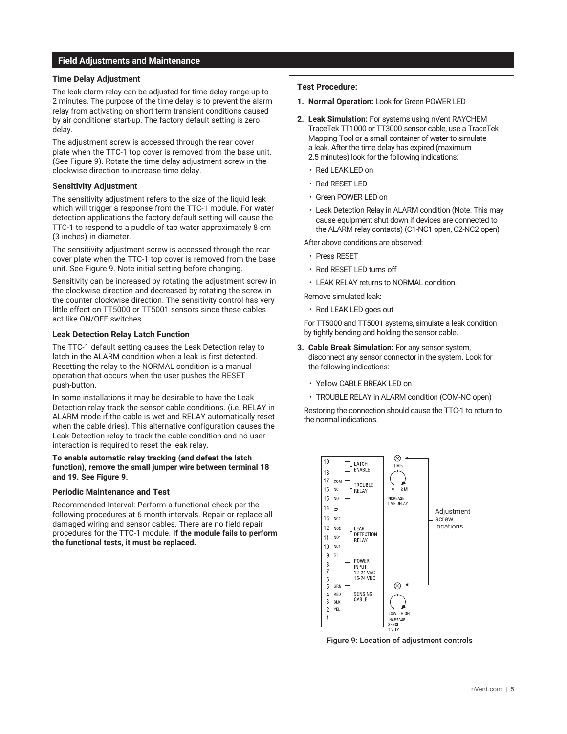## **Field Adjustments and Maintenance**

## **Time Delay Adjustment**

The leak alarm relay can be adjusted for time delay range up to 2 minutes. The purpose of the time delay is to prevent the alarm relay from activating on short term transient conditions caused by air conditioner start-up. The factory default setting is zero delay.

The adjustment screw is accessed through the rear cover plate when the TTC-1 top cover is removed from the base unit. (See Figure 9). Rotate the time delay adjustment screw in the clockwise direction to increase time delay.

## **Sensitivity Adjustment**

The sensitivity adjustment refers to the size of the liquid leak which will trigger a response from the TTC-1 module. For water detection applications the factory default setting will cause the TTC-1 to respond to a puddle of tap water approximately 8 cm (3 inches) in diameter.

The sensitivity adjustment screw is accessed through the rear cover plate when the TTC-1 top cover is removed from the base unit. See Figure 9. Note initial setting before changing.

Sensitivity can be increased by rotating the adjustment screw in the clockwise direction and decreased by rotating the screw in the counter clockwise direction. The sensitivity control has very little effect on TT5000 or TT5001 sensors since these cables act like ON/OFF switches.

## **Leak Detection Relay Latch Function**

The TTC-1 default setting causes the Leak Detection relay to latch in the ALARM condition when a leak is first detected. Resetting the relay to the NORMAL condition is a manual operation that occurs when the user pushes the RESET push-button.

In some installations it may be desirable to have the Leak Detection relay track the sensor cable conditions. (i.e. RELAY in ALARM mode if the cable is wet and RELAY automatically reset when the cable dries). This alternative configuration causes the Leak Detection relay to track the cable condition and no user interaction is required to reset the leak relay.

## **To enable automatic relay tracking (and defeat the latch function), remove the small jumper wire between terminal 18 and 19. See Figure 9.**

#### **Periodic Maintenance and Test**

Recommended Interval: Perform a functional check per the following procedures at 6 month intervals. Repair or replace all damaged wiring and sensor cables. There are no field repair procedures for the TTC-1 module. **If the module fails to perform the functional tests, it must be replaced.**

## **Test Procedure:**

- **1. Normal Operation:** Look for Green POWER LED
- **2. Leak Simulation:** For systems using nVent RAYCHEM TraceTek TT1000 or TT3000 sensor cable, use a TraceTek Mapping Tool or a small container of water to simulate a leak. After the time delay has expired (maximum 2.5 minutes) look for the following indications:
	- Red LEAK LED on
	- Red RESET LED
	- Green POWER LED on
	- Leak Detection Relay in ALARM condition (Note: This may cause equipment shut down if devices are connected to the ALARM relay contacts) (C1-NC1 open, C2-NC2 open)

After above conditions are observed:

- Press RESET
- Red RESET LED turns off
- LEAK RELAY returns to NORMAL condition.

Remove simulated leak:

• Red LEAK LED goes out

For TT5000 and TT5001 systems, simulate a leak condition by tightly bending and holding the sensor cable.

- **3. Cable Break Simulation:** For any sensor system, disconnect any sensor connector in the system. Look for the following indications:
	- Yellow CABLE BREAK LED on
	- TROUBLE RELAY in ALARM condition (COM-NC open)

Restoring the connection should cause the TTC-1 to return to the normal indications.



Figure 9: Location of adjustment controls